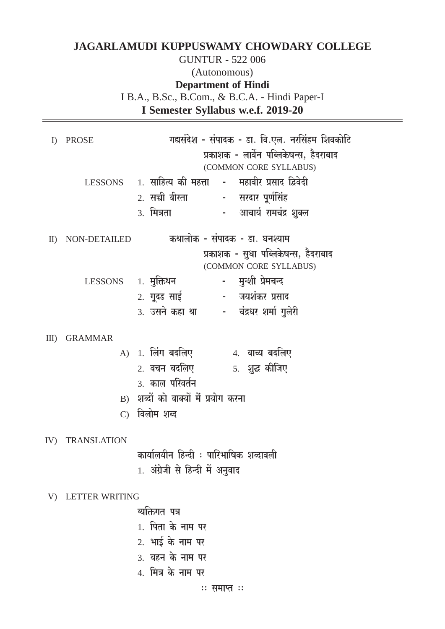## **JAGARLAMUDI KUPPUSWAMY CHOWDARY COLLEGE**

#### **GUNTUR - 522 006** (Autonomous) **Department of Hindi** I B.A., B.Sc., B.Com., & B.C.A. - Hindi Paper-I I Semester Syllabus w.e.f. 2019-20

| $\Gamma$     | PROSE                 | गद्यसंदेश - संपादक - डा. वि.एल. नरसिंहम शिवकोटि              |  |  |  |
|--------------|-----------------------|--------------------------------------------------------------|--|--|--|
|              |                       | प्रकाशक - लार्वेन पब्लिकेषन्स, हैदराबाद                      |  |  |  |
|              |                       | (COMMON CORE SYLLABUS)                                       |  |  |  |
|              |                       | LESSONS    1. साहित्य की महत्ता   -   महावीर प्रसाद द्विवेदी |  |  |  |
|              |                       | 2. सच्ची वीरता - सरदार पूर्णसिंह                             |  |  |  |
|              |                       | -     आचार्य रामचंद्र शुक्ल<br>3. मित्रता                    |  |  |  |
| $\mathbf{I}$ | NON-DETAILED          | कथालोक - संपादक - डा. घनश्याम                                |  |  |  |
|              |                       | प्रकाशक - सुधा पब्लिकेषन्स, हैदराबाद                         |  |  |  |
|              |                       | (COMMON CORE SYLLABUS)                                       |  |  |  |
|              | LESSONS 1. मुक्तिधन   | – मुन्शी प्रेमचन्द                                           |  |  |  |
|              |                       | 2. गूदड साई (2014) - जयशंकर प्रसाद                           |  |  |  |
|              |                       | 3. उसने कहा था विंद्रधर शर्मा गुलेरी                         |  |  |  |
| $III$ )      | <b>GRAMMAR</b>        |                                                              |  |  |  |
|              |                       | A) 1. लिंग बदलिए             4. वाच्य बदलिए                  |  |  |  |
|              |                       |                                                              |  |  |  |
|              |                       | 3. काल परिवर्तन                                              |  |  |  |
|              |                       | B) शब्दों को वाक्यों में प्रयोग करना                         |  |  |  |
|              |                       | C) विलोम शब्द                                                |  |  |  |
| IV)          | TRANSLATION           |                                                              |  |  |  |
|              |                       | कार्यालयीन हिन्दी ः पारिभाषिक शब्दावली                       |  |  |  |
|              |                       | 1. अंग्रेजी से हिन्दी में अनुवाद                             |  |  |  |
| V)           | <b>LETTER WRITING</b> |                                                              |  |  |  |
|              |                       | व्यक्तिगत पत्र                                               |  |  |  |
|              |                       | 1. पिता के नाम पर                                            |  |  |  |
|              |                       | 2. भाई के नाम पर                                             |  |  |  |
|              |                       | 3. बहन के नाम पर                                             |  |  |  |
|              |                       |                                                              |  |  |  |

**4. मित्र के नाम पर**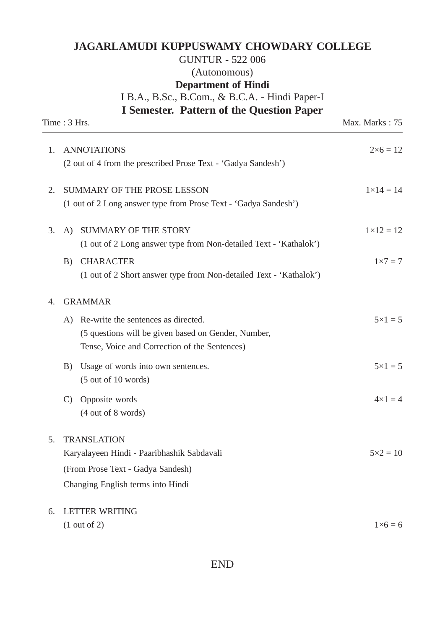#### **JAGARLAMUDI KUPPUSWAMY CHOWDARY COLLEGE**

### GUNTUR - 522 006 (Autonomous) **Department of Hindi** I B.A., B.Sc., B.Com., & B.C.A. - Hindi Paper-I

**I Semester. Pattern of the Question Paper**

|    | Time: 3 Hrs.                                                       | Max. Marks: 75     |
|----|--------------------------------------------------------------------|--------------------|
| 1. | <b>ANNOTATIONS</b>                                                 | $2 \times 6 = 12$  |
|    | (2 out of 4 from the prescribed Prose Text - 'Gadya Sandesh')      |                    |
| 2. | SUMMARY OF THE PROSE LESSON                                        | $1 \times 14 = 14$ |
|    | (1 out of 2 Long answer type from Prose Text - 'Gadya Sandesh')    |                    |
| 3. | SUMMARY OF THE STORY<br>A)                                         | $1 \times 12 = 12$ |
|    | (1 out of 2 Long answer type from Non-detailed Text - 'Kathalok')  |                    |
|    | <b>CHARACTER</b><br>B)                                             | $1 \times 7 = 7$   |
|    | (1 out of 2 Short answer type from Non-detailed Text - 'Kathalok') |                    |
| 4. | <b>GRAMMAR</b>                                                     |                    |
|    | A) Re-write the sentences as directed.                             | $5 \times 1 = 5$   |
|    | (5 questions will be given based on Gender, Number,                |                    |
|    | Tense, Voice and Correction of the Sentences)                      |                    |
|    | Usage of words into own sentences.<br>B)                           | $5 \times 1 = 5$   |
|    | $(5 \text{ out of } 10 \text{ words})$                             |                    |
|    | Opposite words<br>$\mathcal{C}$                                    | $4 \times 1 = 4$   |
|    | $(4 \text{ out of } 8 \text{ words})$                              |                    |
| 5. | <b>TRANSLATION</b>                                                 |                    |
|    | Karyalayeen Hindi - Paaribhashik Sabdavali                         | $5 \times 2 = 10$  |
|    | (From Prose Text - Gadya Sandesh)                                  |                    |
|    | Changing English terms into Hindi                                  |                    |
| 6. | <b>LETTER WRITING</b>                                              |                    |
|    | $(1 \text{ out of } 2)$                                            | $1\times 6=6$      |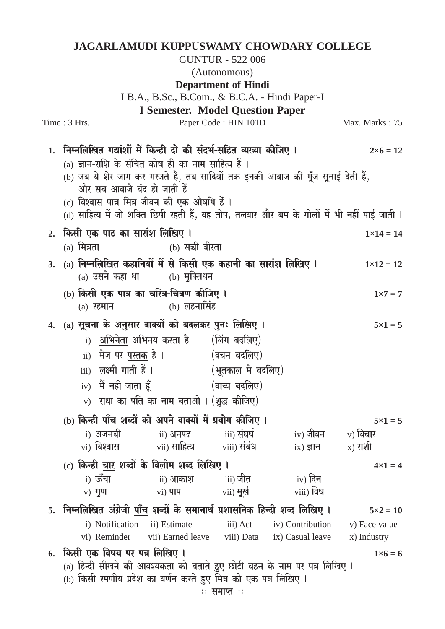## **JAGARLAMUDI KUPPUSWAMY CHOWDARY COLLEGE**

**GUNTUR - 522 006** 

(Autonomous)

#### **Department of Hindi**

| I B.A., B.Sc., B.Com., & B.C.A. - Hindi Paper-I |                                                                                                                                                                                                                                                                                                                                                                                                                |                                               |                               |                                           |                              |  |  |  |
|-------------------------------------------------|----------------------------------------------------------------------------------------------------------------------------------------------------------------------------------------------------------------------------------------------------------------------------------------------------------------------------------------------------------------------------------------------------------------|-----------------------------------------------|-------------------------------|-------------------------------------------|------------------------------|--|--|--|
|                                                 | Time : 3 Hrs.                                                                                                                                                                                                                                                                                                                                                                                                  | <b>I Semester. Model Question Paper</b>       | Paper Code: HIN 101D          |                                           | Max. Marks: 75               |  |  |  |
| 1.                                              | निम्नलिखित गद्यांशों में किन्ही दो की संदर्भ-सहित व्यख्या कीजिए ।<br>$2\times 6 = 12$<br>(a) ज्ञान-राशि के संचित कोष ही का नाम साहित्य हैं ।<br>(b) जब ये शेर जाग कर गरजते है, तब सादियों तक इनकी आवाज की गूँज सूनाई देती हैं,<br>और सब आवाजे बंद हो जाती हैं ।<br>(c) विश्वास पात्र मित्र जीवन की एक औषधि हैं ।<br>d) साहित्य में जो शक्ति छिपी रहती हैं, वह तोप, तलवार और बम के गोलों में भी नहीं पाई जाती । |                                               |                               |                                           |                              |  |  |  |
| 2.                                              | किसी <u>एक</u> पाठ का सारांश लिखिए ।<br>$(a)$ मित्रता                                                                                                                                                                                                                                                                                                                                                          | (b) सच्ची वीरता                               |                               |                                           | $1 \times 14 = 14$           |  |  |  |
| 3.                                              | (a) निम्नलिखित कहानियों में से किसी एक कहानी का सारांश लिखिए ।                                                                                                                                                                                                                                                                                                                                                 | (a) उसने कहा था (b) मुक्तिधन                  |                               |                                           | $1 \times 12 = 12$           |  |  |  |
|                                                 | (b) किसी <u>एक</u> पात्र का चरित्र-चित्रण कीजिए ।<br>$(a)$ रहमान                                                                                                                                                                                                                                                                                                                                               | $(b)$ लहनासिंह                                |                               |                                           | $1 \times 7 = 7$             |  |  |  |
|                                                 | 4. (a) सूचना के अनुसार वाक्यों को बदलकर पुनः लिखिए ।<br>$5 \times 1 = 5$<br>i) अभिनेता अभिनय करता है ।   (लिंग बदलिए)<br>ii) मेज पर <u>पुस्तक</u> है l               (वचन बदलिए)<br>iii) लक्ष्मी गाती हैं । (भूतकाल मे बदलिए)<br>$\ket{iv}$ मैं नही जाता हूँ । $\ket{v}$ (वाच्य बदलिए)<br>$\mathbf{v}$ ) राधा का पति का नाम बताओ । (शुद्ध कीजिए)                                                               |                                               |                               |                                           |                              |  |  |  |
|                                                 | (b) किन्ही <u>पाँच</u> शब्दों को अपने वाक्यों में प्रयोग कीजिए ।                                                                                                                                                                                                                                                                                                                                               |                                               |                               |                                           | $5 \times 1 = 5$             |  |  |  |
|                                                 | i) अजनबी<br>vi) विश्वास                                                                                                                                                                                                                                                                                                                                                                                        | ii) अनपढ<br>vii) साहित्य viii) संबंध          | iii) संघर्ष                   | iv) जीवन $\qquad$ v) विचार<br>$ix)$ ज्ञान | $(x)$ राशी                   |  |  |  |
|                                                 | (c) किन्ही <u>चार</u> शब्दों के विलोम शब्द लिखिए ।<br>$i)$ ऊँचा<br>$v)$ गुण                                                                                                                                                                                                                                                                                                                                    | ii) आकाश<br>$vi)$ पाप                         | iii) जीत<br>vii) <b>मू</b> खे | iv) दिन<br>viii) विष                      | $4 \times 1 = 4$             |  |  |  |
| 5.                                              | निम्नलिखित अंग्रेजी <u>पाँच</u> शब्दों के समानार्थ प्रशासनिक हिन्दी शब्द लिखिए ।<br>$5 \times 2 = 10$                                                                                                                                                                                                                                                                                                          |                                               |                               |                                           |                              |  |  |  |
|                                                 | i) Notification ii) Estimate<br>vi) Reminder                                                                                                                                                                                                                                                                                                                                                                   | vii) Earned leave viii) Data ix) Casual leave | iii) Act                      | iv) Contribution                          | v) Face value<br>x) Industry |  |  |  |
| 6.                                              | किसी एक विषय पर पत्र लिखिए ।                                                                                                                                                                                                                                                                                                                                                                                   |                                               |                               |                                           | $1 \times 6 = 6$             |  |  |  |
|                                                 | (a) हिन्दी सीखने की आवश्यकता को बताते हुए छोटी बहन के नाम पर पत्र लिखिए ।<br>(b) किसी रमणीय प्रदेश का वर्णन करते हुए मित्र को एक पत्र लिखिए ।                                                                                                                                                                                                                                                                  |                                               |                               |                                           |                              |  |  |  |